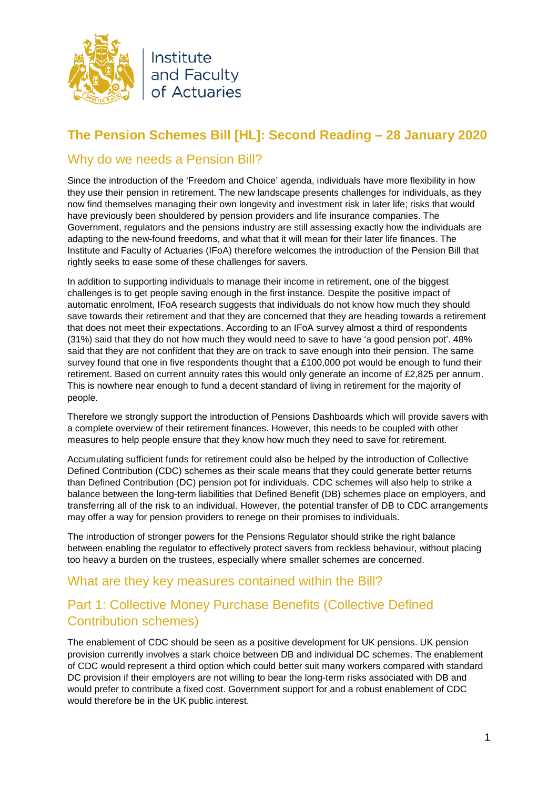

# **The Pension Schemes Bill [HL]: Second Reading – 28 January 2020**

#### Why do we needs a Pension Bill?

Since the introduction of the 'Freedom and Choice' agenda, individuals have more flexibility in how they use their pension in retirement. The new landscape presents challenges for individuals, as they now find themselves managing their own longevity and investment risk in later life; risks that would have previously been shouldered by pension providers and life insurance companies. The Government, regulators and the pensions industry are still assessing exactly how the individuals are adapting to the new-found freedoms, and what that it will mean for their later life finances. The Institute and Faculty of Actuaries (IFoA) therefore welcomes the introduction of the Pension Bill that rightly seeks to ease some of these challenges for savers.

In addition to supporting individuals to manage their income in retirement, one of the biggest challenges is to get people saving enough in the first instance. Despite the positive impact of automatic enrolment, IFoA research suggests that individuals do not know how much they should save towards their retirement and that they are concerned that they are heading towards a retirement that does not meet their expectations. According to an IFoA survey almost a third of respondents (31%) said that they do not how much they would need to save to have 'a good pension pot'. 48% said that they are not confident that they are on track to save enough into their pension. The same survey found that one in five respondents thought that a £100,000 pot would be enough to fund their retirement. Based on current annuity rates this would only generate an income of £2,825 per annum. This is nowhere near enough to fund a decent standard of living in retirement for the majority of people.

Therefore we strongly support the introduction of Pensions Dashboards which will provide savers with a complete overview of their retirement finances. However, this needs to be coupled with other measures to help people ensure that they know how much they need to save for retirement.

Accumulating sufficient funds for retirement could also be helped by the introduction of Collective Defined Contribution (CDC) schemes as their scale means that they could generate better returns than Defined Contribution (DC) pension pot for individuals. CDC schemes will also help to strike a balance between the long-term liabilities that Defined Benefit (DB) schemes place on employers, and transferring all of the risk to an individual. However, the potential transfer of DB to CDC arrangements may offer a way for pension providers to renege on their promises to individuals.

The introduction of stronger powers for the Pensions Regulator should strike the right balance between enabling the regulator to effectively protect savers from reckless behaviour, without placing too heavy a burden on the trustees, especially where smaller schemes are concerned.

#### What are they key measures contained within the Bill?

### Part 1: Collective Money Purchase Benefits (Collective Defined Contribution schemes)

The enablement of CDC should be seen as a positive development for UK pensions. UK pension provision currently involves a stark choice between DB and individual DC schemes. The enablement of CDC would represent a third option which could better suit many workers compared with standard DC provision if their employers are not willing to bear the long-term risks associated with DB and would prefer to contribute a fixed cost. Government support for and a robust enablement of CDC would therefore be in the UK public interest.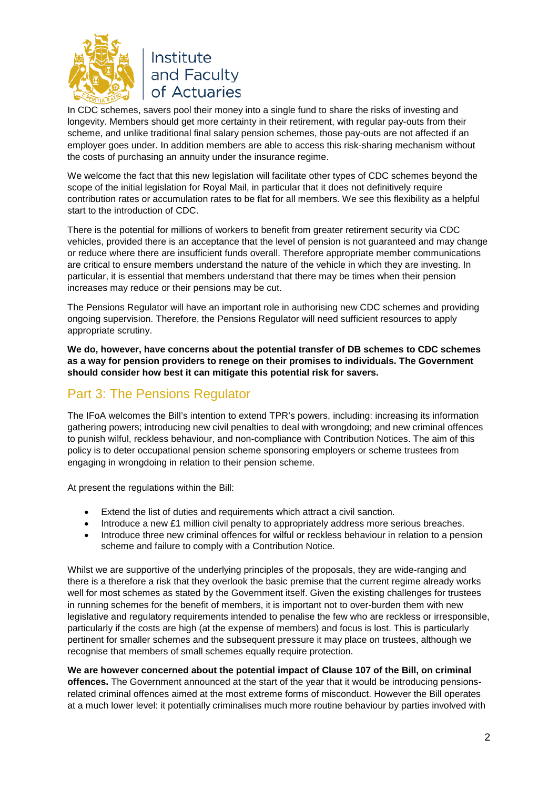

In CDC schemes, savers pool their money into a single fund to share the risks of investing and longevity. Members should get more certainty in their retirement, with regular pay-outs from their scheme, and unlike traditional final salary pension schemes, those pay-outs are not affected if an employer goes under. In addition members are able to access this risk-sharing mechanism without the costs of purchasing an annuity under the insurance regime.

We welcome the fact that this new legislation will facilitate other types of CDC schemes beyond the scope of the initial legislation for Royal Mail, in particular that it does not definitively require contribution rates or accumulation rates to be flat for all members. We see this flexibility as a helpful start to the introduction of CDC.

There is the potential for millions of workers to benefit from greater retirement security via CDC vehicles, provided there is an acceptance that the level of pension is not guaranteed and may change or reduce where there are insufficient funds overall. Therefore appropriate member communications are critical to ensure members understand the nature of the vehicle in which they are investing. In particular, it is essential that members understand that there may be times when their pension increases may reduce or their pensions may be cut.

The Pensions Regulator will have an important role in authorising new CDC schemes and providing ongoing supervision. Therefore, the Pensions Regulator will need sufficient resources to apply appropriate scrutiny.

**We do, however, have concerns about the potential transfer of DB schemes to CDC schemes as a way for pension providers to renege on their promises to individuals. The Government should consider how best it can mitigate this potential risk for savers.** 

### Part 3: The Pensions Regulator

The IFoA welcomes the Bill's intention to extend TPR's powers, including: increasing its information gathering powers; introducing new civil penalties to deal with wrongdoing; and new criminal offences to punish wilful, reckless behaviour, and non-compliance with Contribution Notices. The aim of this policy is to deter occupational pension scheme sponsoring employers or scheme trustees from engaging in wrongdoing in relation to their pension scheme.

At present the regulations within the Bill:

- Extend the list of duties and requirements which attract a civil sanction.
- Introduce a new £1 million civil penalty to appropriately address more serious breaches.
- Introduce three new criminal offences for wilful or reckless behaviour in relation to a pension scheme and failure to comply with a Contribution Notice.

Whilst we are supportive of the underlying principles of the proposals, they are wide-ranging and there is a therefore a risk that they overlook the basic premise that the current regime already works well for most schemes as stated by the Government itself. Given the existing challenges for trustees in running schemes for the benefit of members, it is important not to over-burden them with new legislative and regulatory requirements intended to penalise the few who are reckless or irresponsible, particularly if the costs are high (at the expense of members) and focus is lost. This is particularly pertinent for smaller schemes and the subsequent pressure it may place on trustees, although we recognise that members of small schemes equally require protection.

**We are however concerned about the potential impact of Clause 107 of the Bill, on criminal offences.** The Government announced at the start of the year that it would be introducing pensions-

<span id="page-1-0"></span>related criminal offences aimed at the most extreme forms of misconduct. However the Bill operates at a much lower level: it potentially criminalises much more routine behaviour by parties involved with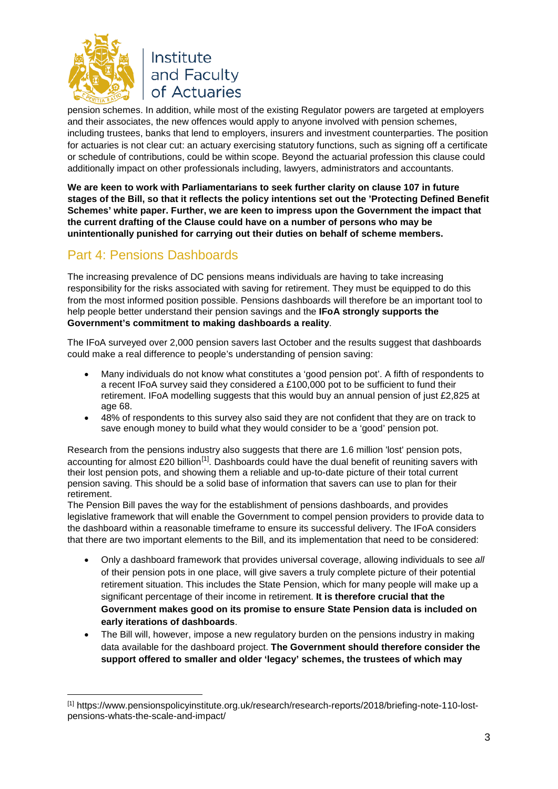

<u>.</u>

of Actuaries pension schemes. In addition, while most of the existing Regulator powers are targeted at employers and their associates, the new offences would apply to anyone involved with pension schemes, including trustees, banks that lend to employers, insurers and investment counterparties. The position for actuaries is not clear cut: an actuary exercising statutory functions, such as signing off a certificate or schedule of contributions, could be within scope. Beyond the actuarial profession this clause could additionally impact on other professionals including, lawyers, administrators and accountants.

**We are keen to work with Parliamentarians to seek further clarity on clause 107 in future stages of the Bill, so that it reflects the policy intentions set out the 'Protecting Defined Benefit Schemes' white paper. Further, we are keen to impress upon the Government the impact that the current drafting of the Clause could have on a number of persons who may be unintentionally punished for carrying out their duties on behalf of scheme members.** 

## Part 4: Pensions Dashboards

The increasing prevalence of DC pensions means individuals are having to take increasing responsibility for the risks associated with saving for retirement. They must be equipped to do this from the most informed position possible. Pensions dashboards will therefore be an important tool to help people better understand their pension savings and the **IFoA strongly supports the Government's commitment to making dashboards a reality**.

The IFoA surveyed over 2,000 pension savers last October and the results suggest that dashboards could make a real difference to people's understanding of pension saving:

- Many individuals do not know what constitutes a 'good pension pot'. A fifth of respondents to a recent IFoA survey said they considered a £100,000 pot to be sufficient to fund their retirement. IFoA modelling suggests that this would buy an annual pension of just £2,825 at age 68.
- 48% of respondents to this survey also said they are not confident that they are on track to save enough money to build what they would consider to be a 'good' pension pot.

Research from the pensions industry also suggests that there are 1.6 million 'lost' pension pots, accounting for almost £20 billion<sup>[1]</sup>. Dashboards could have the dual benefit of reuniting savers with their lost pension pots, and showing them a reliable and up-to-date picture of their total current pension saving. This should be a solid base of information that savers can use to plan for their retirement.

The Pension Bill paves the way for the establishment of pensions dashboards, and provides legislative framework that will enable the Government to compel pension providers to provide data to the dashboard within a reasonable timeframe to ensure its successful delivery. The IFoA considers that there are two important elements to the Bill, and its implementation that need to be considered:

- Only a dashboard framework that provides universal coverage, allowing individuals to see *all* of their pension pots in one place, will give savers a truly complete picture of their potential retirement situation. This includes the State Pension, which for many people will make up a significant percentage of their income in retirement. **It is therefore crucial that the Government makes good on its promise to ensure State Pension data is included on early iterations of dashboards**.
- The Bill will, however, impose a new regulatory burden on the pensions industry in making data available for the dashboard project. **The Government should therefore consider the support offered to smaller and older 'legacy' schemes, the trustees of which may**

<sup>[1]</sup> https://www.pensionspolicyinstitute.org.uk/research/research-reports/2018/briefing-note-110-lostpensions-whats-the-scale-and-impact/